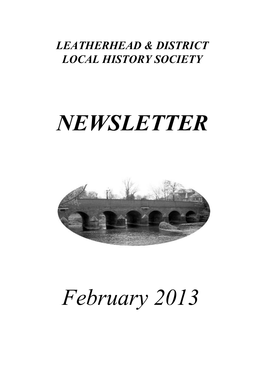### *Leatherhead & District Local History Society*

## *NEWSLETTER*



# *February 2013*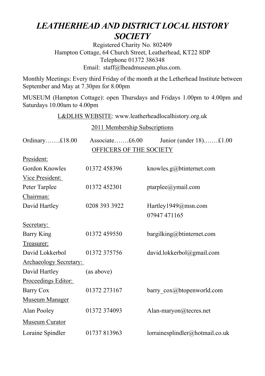### *LEATHERHEAD AND DISTRICT LOCAL HISTORY SOCIETY*

Registered Charity No. 802409 Hampton Cottage, 64 Church Street, Leatherhead, KT22 8DP Telephone 01372 386348 Email: staff@lheadmuseum.plus.com.

Monthly Meetings: Every third Friday of the month at the Letherhead Institute between September and May at 7.30pm for 8.00pm

MUSEUM (Hampton Cottage): open Thursdays and Fridays 1.00pm to 4.00pm and Saturdays 10.00am to 4.00pm

L&DLHS WEBSITE: www.leatherheadlocalhistory.org.uk

2011 Membership Subscriptions

| Ordinary£18.00                | Associate£6.00 | Junior (under 18)£1.00          |  |
|-------------------------------|----------------|---------------------------------|--|
| OFFICERS OF THE SOCIETY       |                |                                 |  |
| President:                    |                |                                 |  |
| Gordon Knowles                | 01372 458396   | knowles.g@btinternet.com        |  |
| Vice President:               |                |                                 |  |
| Peter Tarplee                 | 01372 452301   | ptarplee@ymail.com              |  |
| Chairman:                     |                |                                 |  |
| David Hartley                 | 0208 393 3922  | Hartley1949@msn.com             |  |
|                               |                | 07947 471165                    |  |
| Secretary:                    |                |                                 |  |
| Barry King                    | 01372 459550   | bargilking@btinternet.com       |  |
| Treasurer:                    |                |                                 |  |
| David Lokkerbol               | 01372 375756   | david.lokkerbol@gmail.com       |  |
| <b>Archaeology Secretary:</b> |                |                                 |  |
| David Hartley                 | (as above)     |                                 |  |
| Proceedings Editor:           |                |                                 |  |
| Barry Cox                     | 01372 273167   | barry_cox@btopenworld.com       |  |
| <b>Museum Manager</b>         |                |                                 |  |
| Alan Pooley                   | 01372 374093   | Alan-maryon@tecres.net          |  |
| Museum Curator                |                |                                 |  |
| Loraine Spindler              | 01737 813963   | lorrainesplindler@hotmail.co.uk |  |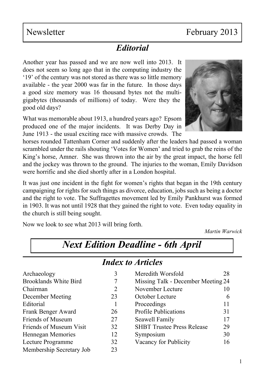### *Editorial*

Another year has passed and we are now well into 2013. It does not seem so long ago that in the computing industry the '19' of the century was not stored as there was so little memory available - the year 2000 was far in the future. In those days a good size memory was 16 thousand bytes not the multigigabytes (thousands of millions) of today. Were they the good old days?

What was memorable about 1913, a hundred years ago? Epsom produced one of the major incidents. It was Derby Day in June 1913 - the usual exciting race with massive crowds. The

horses rounded Tattenham Corner and suddenly after the leaders had passed a woman scrambled under the rails shouting 'Votes for Women' and tried to grab the reins of the King's horse, Amner. She was thrown into the air by the great impact, the horse fell and the jockey was thrown to the ground. The injuries to the woman, Emily Davidson were horrific and she died shortly after in a London hospital.

It was just one incident in the fight for women's rights that began in the 19th century campaigning for rights for such things as divorce, education, jobs such as being a doctor and the right to vote. The Suffragettes movement led by Emily Pankhurst was formed in 1903. It was not until 1928 that they gained the right to vote. Even today equality in the church is still being sought.

*Next Edition Deadline - 6th April*

Now we look to see what 2013 will bring forth.

*Martin Warwick* 

| <b>Index to Articles</b>     |    |                                    |    |  |
|------------------------------|----|------------------------------------|----|--|
| Archaeology                  | 3  | Meredith Worsfold                  | 28 |  |
| <b>Brooklands White Bird</b> |    | Missing Talk - December Meeting 24 |    |  |
| Chairman                     | 2  | November Lecture                   | 10 |  |
| December Meeting             | 23 | October Lecture                    | 6  |  |
| Editorial                    |    | Proceedings                        | 11 |  |
| Frank Benger Award           | 26 | <b>Profile Publications</b>        | 31 |  |
| Friends of Museum            | 27 | Seawell Family                     | 17 |  |
| Friends of Museum Visit      | 32 | <b>SHBT Trustee Press Release</b>  | 29 |  |
| Hennegan Memories            | 12 | Symposium                          | 30 |  |
| Lecture Programme            | 32 | Vacancy for Publicity              | 16 |  |
| Membership Secretary Job     | 23 |                                    |    |  |

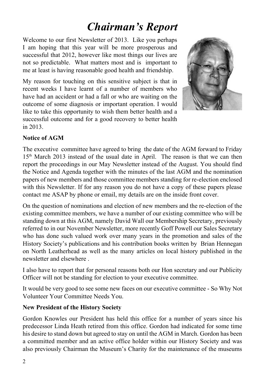### *Chairman's Report*

Welcome to our first Newsletter of 2013. Like you perhaps I am hoping that this year will be more prosperous and successful that 2012, however like most things our lives are not so predictable. What matters most and is important to me at least is having reasonable good health and friendship.

My reason for touching on this sensitive subject is that in recent weeks I have learnt of a number of members who have had an accident or had a fall or who are waiting on the outcome of some diagnosis or important operation. I would like to take this opportunity to wish them better health and a successful outcome and for a good recovery to better health in 2013.



#### **Notice of AGM**

The executive committee have agreed to bring the date of the AGM forward to Friday 15th March 2013 instead of the usual date in April. The reason is that we can then report the proceedings in our May Newsletter instead of the August. You should find the Notice and Agenda together with the minutes of the last AGM and the nomination papers of new members and those committee members standing for re-election enclosed with this Newsletter. If for any reason you do not have a copy of these papers please contact me ASAP by phone or email, my details are on the inside front cover.

On the question of nominations and election of new members and the re-election of the existing committee members, we have a number of our existing committee who will be standing down at this AGM, namely David Wall our Membership Secretary, previously referred to in our November Newsletter, more recently Goff Powell our Sales Secretary who has done such valued work over many years in the promotion and sales of the History Society's publications and his contribution books written by Brian Hennegan on North Leatherhead as well as the many articles on local history published in the newsletter and elsewhere .

I also have to report that for personal reasons both our Hon secretary and our Publicity Officer will not be standing for election to your executive committee.

It would be very good to see some new faces on our executive committee - So Why Not Volunteer Your Committee Needs You.

#### **New President of the History Society**

Gordon Knowles our President has held this office for a number of years since his predecessor Linda Heath retired from this office. Gordon had indicated for some time his desire to stand down but agreed to stay on until the AGM in March. Gordon has been a committed member and an active office holder within our History Society and was also previously Chairman the Museum's Charity for the maintenance of the museums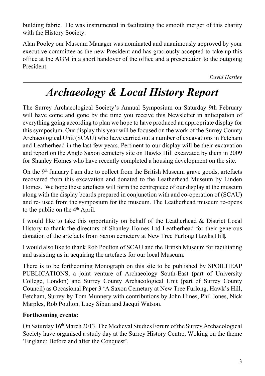building fabric. He was instrumental in facilitating the smooth merger of this charity with the History Society.

Alan Pooley our Museum Manager was nominated and unanimously approved by your executive committee as the new President and has graciously accepted to take up this office at the AGM in a short handover of the office and a presentation to the outgoing President.

*David Hartley*

### *Archaeology & Local History Report*

The Surrey Archaeological Society's Annual Symposium on Saturday 9th February will have come and gone by the time you receive this Newsletter in anticipation of everything going according to plan we hope to have produced an appropriate display for this symposium. Our display this year will be focused on the work of the Surrey County Archaeological Unit (SCAU) who have carried out a number of excavations in Fetcham and Leatherhead in the last few years. Pertinent to our display will be their excavation and report on the Anglo Saxon cemetery site on Hawks Hill excavated by them in 2009 for Shanley Homes who have recently completed a housing development on the site.

On the 9th January I am due to collect from the British Museum grave goods, artefacts recovered from this excavation and donated to the Leatherhead Museum by Linden Homes. We hope these artefacts will form the centrepiece of our display at the museum along with the display boards prepared in conjunction with and co-operation of (SCAU) and re- used from the symposium for the museum. The Leatherhead museum re-opens to the public on the 4th April.

I would like to take this opportunity on behalf of the Leatherhead & District Local History to thank the directors of Shanley Homes Ltd Leatherhead for their generous donation of the artefacts from Saxon cemetery at New Tree Furlong Hawks Hill.

I would also like to thank Rob Poulton of SCAU and the British Museum for facilitating and assisting us in acquiring the artefacts for our local Museum.

There is to be forthcoming Monograph on this site to be published by SPOILHEAP PUBLICATIONS, a joint venture of Archaeology South-East (part of University College, London) and Surrey County Archaeological Unit (part of Surrey County Council) as Occasional Paper 3 'A Saxon Cemetary at New Tree Furlong, Hawk's Hill, Fetcham, Surrey **b**y Tom Munnery with contributions by John Hines, Phil Jones, Nick Marples, Rob Poulton, Lucy Sibun and Jacqui Watson.

#### **Forthcoming events:**

On Saturday 16th March 2013. The Medieval Studies Forum of the Surrey Archaeological Society have organised a study day at the Surrey History Centre, Woking on the theme 'England: Before and after the Conquest'.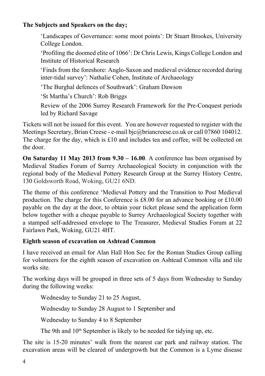#### **The Subjects and Speakers on the day;**

'Landscapes of Governance: some moot points': Dr Stuart Brookes, University College London.

'Profiling the doomed elite of 1066': Dr Chris Lewis, Kings College London and Institute of Historical Research

'Finds from the foreshore: Anglo-Saxon and medieval evidence recorded during inter-tidal survey': Nathalie Cohen, Institute of Archaeology

'The Burghal defences of Southwark': Graham Dawson

'St Martha's Church': Rob Briggs

Review of the 2006 Surrey Research Framework for the Pre-Conquest periods led by Richard Savage

Tickets will not be issued for this event. You are however requested to register with the Meetings Secretary, Brian Creese - e-mail bjc@briancreese.co.uk or call 07860 104012. The charge for the day, which is £10 and includes tea and coffee, will be collected on the door.

**On Saturday 11 May 2013 from 9.30 – 16.00**. A conference has been organised by Medieval Studies Forum of Surrey Archaeological Society in conjunction with the regional body of the Medieval Pottery Research Group at the Surrey History Centre, 130 Goldsworth Road, Woking, GU21 6ND.

The theme of this conference 'Medieval Pottery and the Transition to Post Medieval production. The charge for this Conference is £8.00 for an advance booking or  $£10.00$ payable on the day at the door, to obtain your ticket please send the application form below together with a cheque payable to Surrey Archaeological Society together with a stamped self-addressed envelope to The Treasurer, Medieval Studies Forum at 22 Fairlawn Park, Woking, GU21 4HT.

#### **Eighth season of excavation on Ashtead Common**

I have received an email for Alan Hall Hon Sec for the Roman Studies Group calling for volunteers for the eighth season of excavation on Ashtead Common villa and tile works site.

The working days will be grouped in three sets of 5 days from Wednesday to Sunday during the following weeks:

Wednesday to Sunday 21 to 25 August,

Wednesday to Sunday 28 August to 1 September and

Wednesday to Sunday 4 to 8 September

The 9th and  $10<sup>th</sup>$  September is likely to be needed for tidying up, etc.

The site is 15-20 minutes' walk from the nearest car park and railway station. The excavation areas will be cleared of undergrowth but the Common is a Lyme disease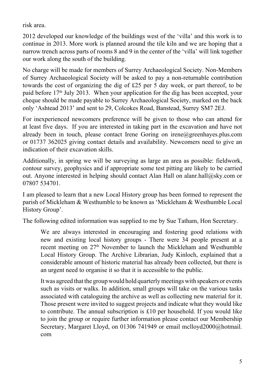risk area.

2012 developed our knowledge of the buildings west of the 'villa' and this work is to continue in 2013. More work is planned around the tile kiln and we are hoping that a narrow trench across parts of rooms 8 and 9 in the center of the 'villa' will link together our work along the south of the building.

No charge will be made for members of Surrey Archaeological Society. Non-Members of Surrey Archaeological Society will be asked to pay a non-returnable contribution towards the cost of organizing the dig of £25 per 5 day week, or part thereof, to be paid before 17<sup>th</sup> July 2013. When your application for the dig has been accepted, your cheque should be made payable to Surrey Archaeological Society, marked on the back only 'Ashtead 2013' and sent to 29, Colcokes Road, Banstead, Surrey SM7 2EJ.

For inexperienced newcomers preference will be given to those who can attend for at least five days. If you are interested in taking part in the excavation and have not already been in touch, please contact Irene Goring on irene@greenhayes.plus.com or 01737 362025 giving contact details and availability. Newcomers need to give an indication of their excavation skills.

Additionally, in spring we will be surveying as large an area as possible: fieldwork, contour survey, geophysics and if appropriate some test pitting are likely to be carried out. Anyone interested in helping should contact Alan Hall on alanr.hall@sky.com or 07807 534701.

I am pleased to learn that a new Local History group has been formed to represent the parish of Mickleham & Westhumble to be known as 'Mickleham & Westhumble Local History Group'.

The following edited information was supplied to me by Sue Tatham, Hon Secretary.

We are always interested in encouraging and fostering good relations with new and existing local history groups - There were 34 people present at a recent meeting on 27<sup>th</sup> November to launch the Mickleham and Westhumble Local History Group. The Archive Librarian, Judy Kinloch, explained that a considerable amount of historic material has already been collected, but there is an urgent need to organise it so that it is accessible to the public.

It was agreed that the group would hold quarterly meetings with speakers or events such as visits or walks. In addition, small groups will take on the various tasks associated with cataloguing the archive as well as collecting new material for it. Those present were invited to suggest projects and indicate what they would like to contribute. The annual subscription is £10 per household. If you would like to join the group or require further information please contact our Membership Secretary, Margaret Lloyd, on 01306 741949 or email [mclloyd2000@hotmail.](mailto:mclloyd2000@hotmail.com) [com](mailto:mclloyd2000@hotmail.com)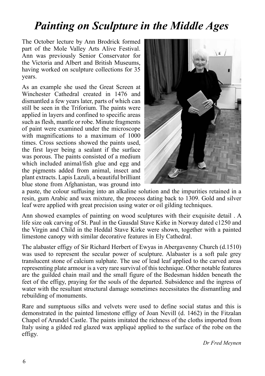### *Painting on Sculpture in the Middle Ages*

The October lecture by Ann Brodrick formed part of the Mole Valley Arts Alive Festival. Ann was previously Senior Conservator for the Victoria and Albert and British Museums, having worked on sculpture collections for 35 years.

As an example she used the Great Screen at Winchester Cathedral created in 1476 and dismantled a few years later, parts of which can still be seen in the Triforium. The paints were applied in layers and confined to specific areas such as flesh, mantle or robe. Minute fragments of paint were examined under the microscope with magnifications to a maximum of 1000 times. Cross sections showed the paints used, the first layer being a sealant if the surface was porous. The paints consisted of a medium which included animal/fish glue and egg and the pigments added from animal, insect and plant extracts. Lapis Lazuli, a beautiful brilliant blue stone from Afghanistan, was ground into



a paste, the colour suffusing into an alkaline solution and the impurities retained in a resin, gum Arabic and wax mixture, the process dating back to 1309. Gold and silver leaf were applied with great precision using water or oil gilding techniques.

Ann showed examples of painting on wood sculptures with their exquisite detail . A life size oak carving of St. Paul in the Gausdal Stave Kirke in Norway dated c1250 and the Virgin and Child in the Heddal Stave Kirke were shown, together with a painted limestone canopy with similar decorative features in Ely Cathedral.

The alabaster effigy of Sir Richard Herbert of Ewyas in Abergavenny Church (d.1510) was used to represent the secular power of sculpture. Alabaster is a soft pale grey translucent stone of calcium sulphate. The use of lead leaf applied to the carved areas representing plate armour is a very rare survival of this technique. Other notable features are the guilded chain mail and the small figure of the Bedesman hidden beneath the feet of the effigy, praying for the souls of the departed. Subsidence and the ingress of water with the resultant structural damage sometimes necessitates the dismantling and rebuilding of monuments.

Rare and sumptuous silks and velvets were used to define social status and this is demonstrated in the painted limestone effigy of Joan Nevill (d. 1462) in the Fitzalan Chapel of Arundel Castle. The paints imitated the richness of the cloths imported from Italy using a gilded red glazed wax appliqué applied to the surface of the robe on the effigy.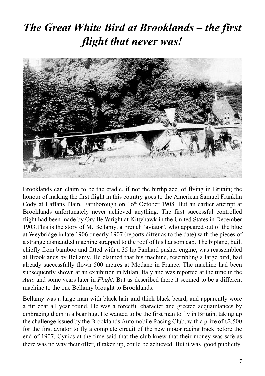### *The Great White Bird at Brooklands – the first flight that never was!*



Brooklands can claim to be the cradle, if not the birthplace, of flying in Britain; the honour of making the first flight in this country goes to the American Samuel Franklin Cody at Laffans Plain, Farnborough on  $16<sup>th</sup>$  October 1908. But an earlier attempt at Brooklands unfortunately never achieved anything. The first successful controlled flight had been made by Orville Wright at Kittyhawk in the United States in December 1903.This is the story of M. Bellamy, a French 'aviator', who appeared out of the blue at Weybridge in late 1906 or early 1907 (reports differ as to the date) with the pieces of a strange dismantled machine strapped to the roof of his hansom cab. The biplane, built chiefly from bamboo and fitted with a 35 hp Panhard pusher engine, was reassembled at Brooklands by Bellamy. He claimed that his machine, resembling a large bird, had already successfully flown 500 metres at Modane in France. The machine had been subsequently shown at an exhibition in Milan, Italy and was reported at the time in the *Auto* and some years later in *Flight.* But as described there it seemed to be a different machine to the one Bellamy brought to Brooklands.

Bellamy was a large man with black hair and thick black beard, and apparently wore a fur coat all year round. He was a forceful character and greeted acquaintances by embracing them in a bear hug. He wanted to be the first man to fly in Britain, taking up the challenge issued by the Brooklands Automobile Racing Club, with a prize of £2,500 for the first aviator to fly a complete circuit of the new motor racing track before the end of 1907. Cynics at the time said that the club knew that their money was safe as there was no way their offer, if taken up, could be achieved. But it was good publicity.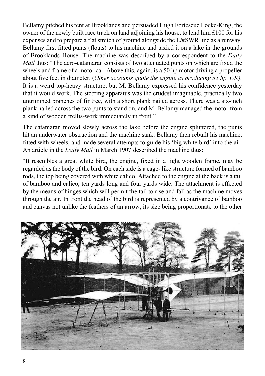Bellamy pitched his tent at Brooklands and persuaded Hugh Fortescue Locke-King, the owner of the newly built race track on land adjoining his house, to lend him £100 for his expenses and to prepare a flat stretch of ground alongside the L&SWR line as a runway. Bellamy first fitted punts (floats) to his machine and taxied it on a lake in the grounds of Brooklands House. The machine was described by a correspondent to the *Daily Mail* thus: "The aero-catamaran consists of two attenuated punts on which are fixed the wheels and frame of a motor car. Above this, again, is a 50 hp motor driving a propeller about five feet in diameter. (*Other accounts quote the engine as producing 35 hp. GK).*  It is a weird top-heavy structure, but M. Bellamy expressed his confidence yesterday that it would work. The steering apparatus was the crudest imaginable, practically two untrimmed branches of fir tree, with a short plank nailed across. There was a six-inch plank nailed across the two punts to stand on, and M. Bellamy managed the motor from a kind of wooden trellis-work immediately in front."

The catamaran moved slowly across the lake before the engine spluttered, the punts hit an underwater obstruction and the machine sank. Bellamy then rebuilt his machine, fitted with wheels, and made several attempts to guide his 'big white bird' into the air. An article in the *Daily Mail* in March 1907 described the machine thus:

"It resembles a great white bird, the engine, fixed in a light wooden frame, may be regarded as the body of the bird. On each side is a cage- like structure formed of bamboo rods, the top being covered with white calico. Attached to the engine at the back is a tail of bamboo and calico, ten yards long and four yards wide. The attachment is effected by the means of hinges which will permit the tail to rise and fall as the machine moves through the air. In front the head of the bird is represented by a contrivance of bamboo and canvas not unlike the feathers of an arrow, its size being proportionate to the other

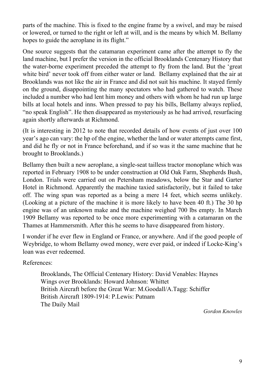parts of the machine. This is fixed to the engine frame by a swivel, and may be raised or lowered, or turned to the right or left at will, and is the means by which M. Bellamy hopes to guide the aeroplane in its flight."

One source suggests that the catamaran experiment came after the attempt to fly the land machine, but I prefer the version in the official Brooklands Centenary History that the water-borne experiment preceded the attempt to fly from the land. But the 'great white bird' never took off from either water or land. Bellamy explained that the air at Brooklands was not like the air in France and did not suit his machine. It stayed firmly on the ground, disappointing the many spectators who had gathered to watch. These included a number who had lent him money and others with whom he had run up large bills at local hotels and inns. When pressed to pay his bills, Bellamy always replied, "no speak English". He then disappeared as mysteriously as he had arrived, resurfacing again shortly afterwards at Richmond.

(It is interesting in 2012 to note that recorded details of how events of just over 100 year's ago can vary: the hp of the engine, whether the land or water attempts came first, and did he fly or not in France beforehand, and if so was it the same machine that he brought to Brooklands.)

Bellamy then built a new aeroplane, a single-seat tailless tractor monoplane which was reported in February 1908 to be under construction at Old Oak Farm, Shepherds Bush, London. Trials were carried out on Petersham meadows, below the Star and Garter Hotel in Richmond. Apparently the machine taxied satisfactorily, but it failed to take off. The wing span was reported as a being a mere 14 feet, which seems unlikely. (Looking at a picture of the machine it is more likely to have been 40 ft.) The 30 hp engine was of an unknown make and the machine weighed 700 lbs empty. In March 1909 Bellamy was reported to be once more experimenting with a catamaran on the Thames at Hammersmith. After this he seems to have disappeared from history.

I wonder if he ever flew in England or France, or anywhere. And if the good people of Weybridge, to whom Bellamy owed money, were ever paid, or indeed if Locke-King's loan was ever redeemed.

References:

Brooklands, The Official Centenary History: David Venables: Haynes Wings over Brooklands: Howard Johnson: Whittet British Aircraft before the Great War: M.Goodall/A.Tagg: Schiffer British Aircraft 1809-1914: P.Lewis: Putnam The Daily Mail

*Gordon Knowles*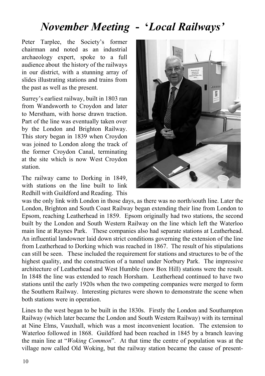### *November Meeting* **- '***Local Railways'*

Peter Tarplee, the Society's former chairman and noted as an industrial archaeology expert, spoke to a full audience about the history of the railways in our district, with a stunning array of slides illustrating stations and trains from the past as well as the present.

Surrey's earliest railway, built in 1803 ran from Wandsworth to Croydon and later to Merstham, with horse drawn traction. Part of the line was eventually taken over by the London and Brighton Railway. This story began in 1839 when Croydon was joined to London along the track of the former Croydon Canal, terminating at the site which is now West Croydon station.

The railway came to Dorking in 1849, with stations on the line built to link Redhill with Guildford and Reading. This



was the only link with London in those days, as there was no north/south line. Later the London, Brighton and South Coast Railway began extending their line from London to Epsom, reaching Leatherhead in 1859. Epsom originally had two stations, the second built by the London and South Western Railway on the line which left the Waterloo main line at Raynes Park. These companies also had separate stations at Leatherhead. An influential landowner laid down strict conditions governing the extension of the line from Leatherhead to Dorking which was reached in 1867. The result of his stipulations can still be seen. These included the requirement for stations and structures to be of the highest quality, and the construction of a tunnel under Norbury Park. The impressive architecture of Leatherhead and West Humble (now Box Hill) stations were the result. In 1848 the line was extended to reach Horsham. Leatherhead continued to have two stations until the early 1920s when the two competing companies were merged to form the Southern Railway. Interesting pictures were shown to demonstrate the scene when both stations were in operation.

Lines to the west began to be built in the 1830s. Firstly the London and Southampton Railway (which later became the London and South Western Railway) with its terminal at Nine Elms, Vauxhall, which was a most inconvenient location. The extension to Waterloo followed in 1868. Guildford had been reached in 1845 by a branch leaving the main line at "*Woking Common*". At that time the centre of population was at the village now called Old Woking, but the railway station became the cause of present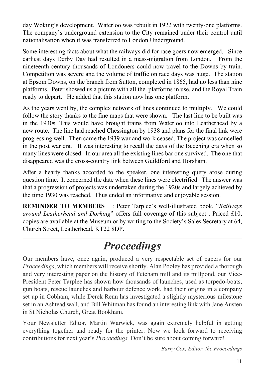day Woking's development. Waterloo was rebuilt in 1922 with twenty-one platforms. The company's underground extension to the City remained under their control until nationalisation when it was transferred to London Underground.

Some interesting facts about what the railways did for race goers now emerged. Since earliest days Derby Day had resulted in a mass-migration from London. From the nineteenth century thousands of Londoners could now travel to the Downs by train. Competition was severe and the volume of traffic on race days was huge. The station at Epsom Downs, on the branch from Sutton, completed in 1865, had no less than nine platforms. Peter showed us a picture with all the platforms in use, and the Royal Train ready to depart. He added that this station now has one platform.

As the years went by, the complex network of lines continued to multiply. We could follow the story thanks to the fine maps that were shown. The last line to be built was in the 1930s. This would have brought trains from Waterloo into Leatherhead by a new route. The line had reached Chessington by 1938 and plans for the final link were progressing well. Then came the 1939 war and work ceased. The project was cancelled in the post war era. It was interesting to recall the days of the Beeching era when so many lines were closed. In our area all the existing lines bar one survived. The one that disappeared was the cross-country link between Guildford and Horsham.

After a hearty thanks accorded to the speaker, one interesting query arose during question time. It concerned the date when these lines were electrified. The answer was that a progression of projects was undertaken during the 1920s and largely achieved by the time 1930 was reached. Thus ended an informative and enjoyable session.

**REMINDER TO MEMBERS** : Peter Tarplee's well-illustrated book, "*Railways around Leatherhead and Dorking*" offers full coverage of this subject . Priced £10, copies are available at the Museum or by writing to the Society's Sales Secretary at 64, Church Street, Leatherhead, KT22 8DP.

### *Proceedings*

Our members have, once again, produced a very respectable set of papers for our *Proceedings*, which members will receive shortly. Alan Pooley has provided a thorough and very interesting paper on the history of Fetcham mill and its millpond, our Vice-President Peter Tarplee has shown how thousands of launches, used as torpedo-boats, gun boats, rescue launches and harbour defence work, had their origins in a company set up in Cobham, while Derek Renn has investigated a slightly mysterious milestone set in an Ashtead wall, and Bill Whitman has found an interesting link with Jane Austen in St Nicholas Church, Great Bookham.

Your Newsletter Editor, Martin Warwick, was again extremely helpful in getting everything together and ready for the printer. Now we look forward to receiving contributions for next year's *Proceedings.* Don't be sure about coming forward!

*Barry Cox, Editor, the Proceedings*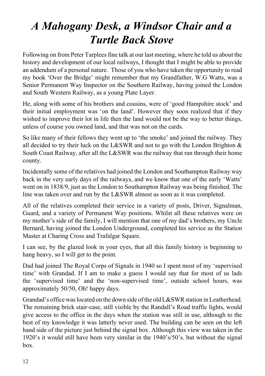### *A Mahogany Desk, a Windsor Chair and a Turtle Back Stove*

Following on from Peter Tarplees fine talk at our last meeting, where he told us about the history and development of our local railways, I thought that I might be able to provide an addendum of a personal nature. Those of you who have taken the opportunity to read my book 'Over the Bridge' might remember that my Grandfather, W.G Watts, was a Senior Permanent Way Inspector on the Southern Railway, having joined the London and South Western Railway, as a young Plate Layer.

He, along with some of his brothers and cousins, were of 'good Hampshire stock' and their initial employment was 'on the land'. However they soon realized that if they wished to improve their lot in life then the land would not be the way to better things, unless of course you owned land, and that was not on the cards.

So like many of their fellows they went up to 'the smoke' and joined the railway. They all decided to try their luck on the L&SWR and not to go with the London Brighton  $\&$ South Coast Railway, after all the L&SWR was the railway that ran through their home county.

Incidentally some of the relatives had joined the London and Southampton Railway way back in the very early days of the railways, and we know that one of the early 'Watts' went on in 1838/9, just as the London to Southampton Railway was being finished. The line was taken over and run by the L&SWR almost as soon as it was completed.

All of the relatives completed their service in a variety of posts, Driver, Signalman, Guard, and a variety of Permanent Way positions. Whilst all these relatives were on my mother's side of the family, I will mention that one of my dad's brothers, my Uncle Bernard, having joined the London Underground, completed his service as the Station Master at Charing Cross and Trafalgar Square.

I can see, by the glazed look in your eyes, that all this family history is beginning to hang heavy, so I will get to the point.

Dad had joined The Royal Corps of Signals in 1940 so I spent most of my 'supervised time' with Grandad. If I am to make a guess I would say that for most of us lads the 'supervised time' and the 'non-supervised time', outside school hours, was approximately 50/50, Oh! happy days.

Grandad's office was located on the down side of the old L&SWR station in Leatherhead. The remaining brick stair-case, still visible by the Randall's Road traffic lights, would give access to the office in the days when the station was still in use, although to the best of my knowledge it was latterly never used. The building can be seen on the left hand side of the picture just behind the signal box. Although this view was taken in the 1920's it would still have been very similar in the 1940's/50's. but without the signal box.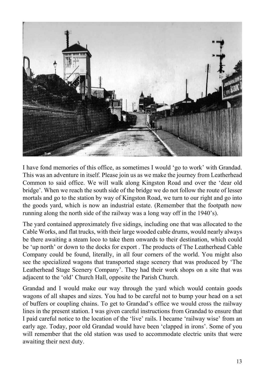

I have fond memories of this office, as sometimes I would 'go to work' with Grandad. This was an adventure in itself. Please join us as we make the journey from Leatherhead Common to said office. We will walk along Kingston Road and over the 'dear old bridge'. When we reach the south side of the bridge we do not follow the route of lesser mortals and go to the station by way of Kingston Road, we turn to our right and go into the goods yard, which is now an industrial estate. (Remember that the footpath now running along the north side of the railway was a long way off in the 1940's).

The yard contained approximately five sidings, including one that was allocated to the Cable Works, and flat trucks, with their large wooded cable drums, would nearly always be there awaiting a steam loco to take them onwards to their destination, which could be 'up north' or down to the docks for export . The products of The Leatherhead Cable Company could be found, literally, in all four corners of the world. You might also see the specialized wagons that transported stage scenery that was produced by 'The Leatherhead Stage Scenery Company'. They had their work shops on a site that was adjacent to the 'old' Church Hall, opposite the Parish Church.

Grandad and I would make our way through the yard which would contain goods wagons of all shapes and sizes. You had to be careful not to bump your head on a set of buffers or coupling chains. To get to Grandad's office we would cross the railway lines in the present station. I was given careful instructions from Grandad to ensure that I paid careful notice to the location of the 'live' rails. I became 'railway wise' from an early age. Today, poor old Grandad would have been 'clapped in irons'. Some of you will remember that the old station was used to accommodate electric units that were awaiting their next duty.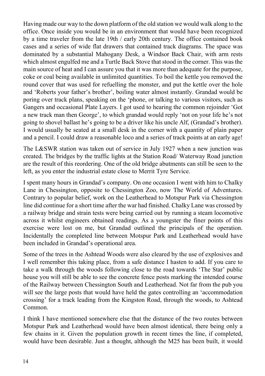Having made our way to the down platform of the old station we would walk along to the office. Once inside you would be in an environment that would have been recognized by a time traveler from the late 19th / early 20th century. The office contained book cases and a series of wide flat drawers that contained track diagrams. The space was dominated by a substantial Mahogany Desk, a Windsor Back Chair, with arm rests which almost engulfed me and a Turtle Back Stove that stood in the corner. This was the main source of heat and I can assure you that it was more than adequate for the purpose, coke or coal being available in unlimited quantities. To boil the kettle you removed the round cover that was used for refuelling the monster, and put the kettle over the hole and 'Roberts your father's brother', boiling water almost instantly. Grandad would be poring over track plans, speaking on the 'phone, or talking to various visitors, such as Gangers and occasional Plate Layers. I got used to hearing the common rejoinder 'Got a new track man then George', to which grandad would reply 'not on your life he's not going to shovel ballast he's going to be a driver like his uncle Alf, (Grandad's brother). I would usually be seated at a small desk in the corner with a quantity of plain paper and a pencil. I could draw a reasonable loco and a series of track points at an early age!

The L&SWR station was taken out of service in July 1927 when a new junction was created. The bridges by the traffic lights at the Station Road/ Waterway Road junction are the result of this reordering. One of the old bridge abutments can still be seen to the left, as you enter the industrial estate close to Merrit Tyre Service.

I spent many hours in Grandad's company. On one occasion I went with him to Chalky Lane in Chessington, opposite to Chessington Zoo, now The World of Adventures. Contrary to popular belief, work on the Leatherhead to Motspur Park via Chessington line did continue for a short time after the war had finished. Chalky Lane was crossed by a railway bridge and strain tests were being carried out by running a steam locomotive across it whilst engineers obtained readings. As a youngster the finer points of this exercise were lost on me, but Grandad outlined the principals of the operation. Incidentally the completed line between Motspur Park and Leatherhead would have been included in Grandad's operational area.

Some of the trees in the Ashtead Woods were also cleared by the use of explosives and I well remember this taking place, from a safe distance I hasten to add. If you care to take a walk through the woods following close to the road towards 'The Star' public house you will still be able to see the concrete fence posts marking the intended course of the Railway between Chessington South and Leatherhead. Not far from the pub you will see the large posts that would have held the gates controlling an 'accommodation crossing' for a track leading from the Kingston Road, through the woods, to Ashtead Common.

I think I have mentioned somewhere else that the distance of the two routes between Motspur Park and Leatherhead would have been almost identical, there being only a few chains in it. Given the population growth in recent times the line, if completed, would have been desirable. Just a thought, although the M25 has been built, it would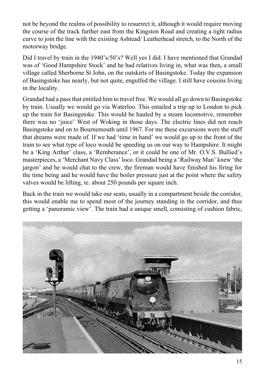not be beyond the realms of possibility to resurrect it, although it would require moving the course of the track further east from the Kingston Road and creating a tight radius curve to join the line with the existing Ashtead/ Leatherhead stretch, to the North of the motorway bridge.

Did I travel by train in the 1940's/50's? Well yes I did. I have mentioned that Grandad was of 'Good Hampshire Stock' and he had relatives living in, what was then, a small village called Sherborne St John, on the outskirts of Basingstoke. Today the expansion of Basingstoke has nearly, but not quite, engulfed the village. I still have cousins living in the locality.

Grandad had a pass that entitled him to travel free. We would all go down to Basingstoke by train. Usually we would go via Waterloo. This entailed a trip up to London to pick up the train for Basingstoke. This would be hauled by a steam locomotive, remember there was no 'juice' West of Woking in those days. The electric lines did not reach Basingstoke and on to Bournemouth until 1967. For me these excursions were the stuff that dreams were made of. If we had 'time in hand' we would go up to the front of the train to see what type of loco would be speeding us on our way to Hampshire. It might be a 'King Arthur' class, a 'Remberance', or it could be one of Mr. O.V.S. Bullied's masterpieces, a 'Merchant Navy Class' loco. Grandad being a 'Railway Man' knew 'the jargon' and he would chat to the crew, the fireman would have finished his firing for the time being and he would have the boiler pressure just at the point where the safety valves would be lifting, ie. about 250 pounds per square inch.

Back in the train we would take our seats, usually in a compartment beside the corridor, this would enable me to spend most of the journey standing in the corridor, and thus getting a 'panoramic view'. The train had a unique smell, consisting of cushion fabric,

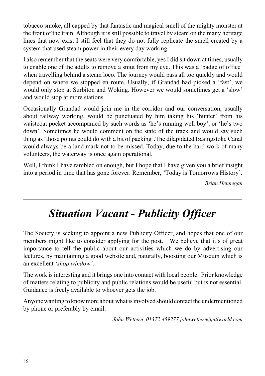tobacco smoke, all capped by that fantastic and magical smell of the mighty monster at the front of the train. Although it is still possible to travel by steam on the many heritage lines that now exist I still feel that they do not fully replicate the smell created by a system that used steam power in their every day working.

I also remember that the seats were very comfortable, yes I did sit down at times, usually to enable one of the adults to remove a smut from my eye. This was a 'badge of office' when travelling behind a steam loco. The journey would pass all too quickly and would depend on where we stopped en route. Usually, if Grandad had picked a 'fast', we would only stop at Surbiton and Woking. However we would sometimes get a 'slow' and would stop at more stations.

Occasionally Grandad would join me in the corridor and our conversation, usually about railway working, would be punctuated by him taking his 'hunter' from his waistcoat pocket accompanied by such words as 'he's running well boy', or 'he's two down'. Sometimes he would comment on the state of the track and would say such thing as 'those points could do with a bit of packing'.The dilapidated Basingstoke Canal would always be a land mark not to be missed. Today, due to the hard work of many volunteers, the waterway is once again operational.

Well, I think I have rambled on enough, but I hope that I have given you a brief insight into a period in time that has gone forever. Remember, 'Today is Tomorrows History'.

*Brian Hennegan*

### *Situation Vacant - Publicity Officer*

The Society is seeking to appoint a new Publicity Officer, and hopes that one of our members might like to consider applying for the post. We believe that it's of great importance to tell the public about our activities which we do by advertising our lectures, by maintaining a good website and, naturally, boosting our Museum which is an excellent '*shop window'*.

The work is interesting and it brings one into contact with local people. Prior knowledge of matters relating to publicity and public relations would be useful but is not essential. Guidance is freely available to whoever gets the job.

Anyone wanting to know more about what is involved should contact the undermentioned by phone or preferably by email.

*John Wettern 01372 459277 [johnwettern@ntlworld.com](mailto:johnwettern@ntlworld.com)*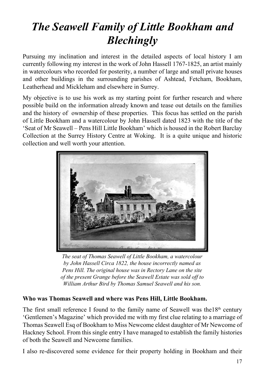## *The Seawell Family of Little Bookham and Blechingly*

Pursuing my inclination and interest in the detailed aspects of local history I am currently following my interest in the work of John Hassell 1767-1825, an artist mainly in watercolours who recorded for posterity, a number of large and small private houses and other buildings in the surrounding parishes of Ashtead, Fetcham, Bookham, Leatherhead and Mickleham and elsewhere in Surrey.

My objective is to use his work as my starting point for further research and where possible build on the information already known and tease out details on the families and the history of ownership of these properties. This focus has settled on the parish of Little Bookham and a watercolour by John Hassell dated 1823 with the title of the 'Seat of Mr Seawell – Pens Hill Little Bookham' which is housed in the Robert Barclay Collection at the Surrey History Centre at Woking. It is a quite unique and historic collection and well worth your attention.



*The seat of Thomas Seawell of Little Bookham, a watercolour by John Hassell Circa 1822, the house incorrectly named as Pens Hill. The original house was in Rectory Lane on the site of the present Grange before the Seawell Estate was sold off to William Arthur Bird by Thomas Samuel Seawell and his son.*

#### **Who was Thomas Seawell and where was Pens Hill, Little Bookham.**

The first small reference I found to the family name of Seawell was the  $18<sup>th</sup>$  century 'Gentlemen's Magazine' which provided me with my first clue relating to a marriage of Thomas Seawell Esq of Bookham to Miss Newcome eldest daughter of Mr Newcome of Hackney School. From this single entry I have managed to establish the family histories of both the Seawell and Newcome families.

I also re-discovered some evidence for their property holding in Bookham and their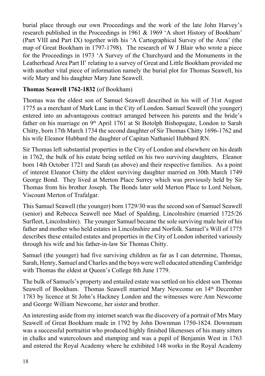burial place through our own Proceedings and the work of the late John Harvey's research published in the Proceedings in 1961 & 1969 'A short History of Bookham' (Part VIII and Part IX) together with his 'A Cartographical Survey of the Area' (the map of Great Bookham in 1797-1798). The research of W J Blair who wrote a piece for the Proceedings in 1973 'A Survey of the Churchyard and the Monuments in the Leatherhead Area Part II' relating to a survey of Great and Little Bookham provided me with another vital piece of information namely the burial plot for Thomas Seawell, his wife Mary and his daughter Mary Jane Seawell.

#### **Thomas Seawell 1762-1832** (of Bookham)

Thomas was the eldest son of Samuel Seawell described in his will of 31st August 1775 as a merchant of Mark Lane in the City of London. Samuel Seawell (the younger) entered into an advantageous contract arranged between his parents and the bride's father on his marriage on  $9<sup>th</sup>$  April 1761 at St Botolph Bishopsgate, London to Sarah Chitty, born 17th March 1734 the second daughter of Sir Thomas Chitty 1696-1762 and his wife Eleanor Hubbard the daughter of Capitan Nathaniel Hubbard RN.

Sir Thomas left substantial properties in the City of London and elsewhere on his death in 1762, the bulk of his estate being settled on his two surviving daughters, Eleanor born 14th October 1721 and Sarah (as above) and their respective families. As a point of interest Eleanor Chitty the eldest surviving daughter married on 30th March 1749 George Bond. They lived at Merton Place Surrey which was previously held by Sir Thomas from his brother Joseph. The Bonds later sold Merton Place to Lord Nelson, Viscount Merton of Trafalgar.

This Samuel Seawell (the younger) born 1729/30 was the second son of Samuel Seawell (senior) and Rebecca Seawell nee Mael of Spalding, Lincolnshire (married 1725/26 Surfleet, Lincolnshire). The younger Samuel became the sole surviving male heir of his father and mother who held estates in Lincolnshire and Norfolk. Samuel's Will of 1775 describes these entailed estates and properties in the City of London inherited variously through his wife and his father-in-law Sir Thomas Chitty.

Samuel (the younger) had five surviving children as far as I can determine, Thomas, Sarah, Henry, Samuel and Charles and the boys were well educated attending Cambridge with Thomas the eldest at Oueen's College 8th June 1779.

The bulk of Samuels's property and entailed estate was settled on his eldest son Thomas Seawell of Bookham. Thomas Seawell married Mary Newcome on 14<sup>th</sup> December 1783 by licence at St John's Hackney London and the witnesses were Ann Newcome and George William Newcome, her sister and brother.

An interesting aside from my internet search was the discovery of a portrait of Mrs Mary Seawell of Great Bookham made in 1792 by John Downman 1750-1824. Downmam was a successful portraitist who produced highly finished likenesses of his many sitters in chalks and watercolours and stumping and was a pupil of Benjamin West in 1763 and entered the Royal Academy where he exhibited 148 works in the [Royal Academy](http://en.wikipedia.org/wiki/Royal_Academy)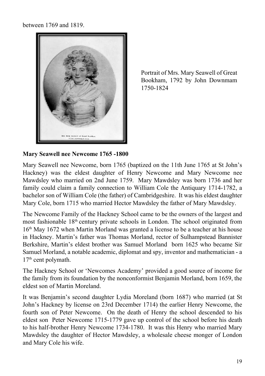between 1769 and 1819.



Portrait of Mrs. Mary Seawell of Great Bookham, 1792 by John Downmam 1750-1824

#### **Mary Seawell nee Newcome 1765 -1800**

Mary Seawell nee Newcome, born 1765 (baptized on the 11th June 1765 at St John's Hackney) was the eldest daughter of Henry Newcome and Mary Newcome nee Mawdsley who married on 2nd June 1759. Mary Mawdsley was born 1736 and her family could claim a family connection to William Cole the Antiquary 1714-1782, a bachelor son of William Cole (the father) of Cambridgeshire. It was his eldest daughter Mary Cole, born 1715 who married Hector Mawdsley the father of Mary Mawdsley.

The Newcome Family of the Hackney School came to be the owners of the largest and most fashionable 18th century private schools in London. The school originated from 16th May 1672 when Martin Morland was granted a license to be a teacher at his house in Hackney. Martin's father was Thomas Morland, rector of Sulhampstead Bannister Berkshire, Martin's eldest brother was Samuel Morland born 1625 who became Sir Samuel Morland, a notable academic, diplomat and spy, inventor and mathematician - a 17<sup>th</sup> cent polymath.

The Hackney School or 'Newcomes Academy' provided a good source of income for the family from its foundation by the nonconformist Benjamin Morland, born 1659, the eldest son of Martin Moreland.

It was Benjamin's second daughter Lydia Moreland (born 1687) who married (at St John's Hackney by license on 23rd December 1714) the earlier Henry Newcome, the fourth son of Peter Newcome. On the death of Henry the school descended to his eldest son Peter Newcome 1715-1779 gave up control of the school before his death to his half-brother Henry Newcome 1734-1780. It was this Henry who married Mary Mawdsley the daughter of Hector Mawdsley, a wholesale cheese monger of London and Mary Cole his wife.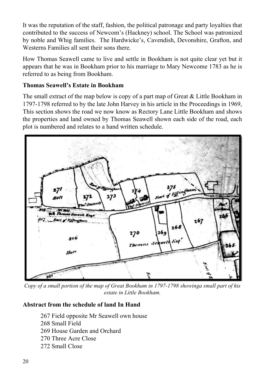It was the reputation of the staff, fashion, the political patronage and party loyalties that contributed to the success of Newcom's (Hackney) school. The School was patronized by noble and Whig families. The Hardwicke's, Cavendish, Devonshire, Grafton, and Westerns Families all sent their sons there.

How Thomas Seawell came to live and settle in Bookham is not quite clear yet but it appears that he was in Bookham prior to his marriage to Mary Newcome 1783 as he is referred to as being from Bookham.

#### **Thomas Seawell's Estate in Bookham**

The small extract of the map below is copy of a part map of Great & Little Bookham in 1797-1798 referred to by the late John Harvey in his article in the Proceedings in 1969, This section shows the road we now know as Rectory Lane Little Bookham and shows the properties and land owned by Thomas Seawell shown each side of the road, each plot is numbered and relates to a hand written schedule.



*Copy of a small portion of the map of Great Bookham in 1797-1798 showinga small part of his estate in Little Bookham.*

#### **Abstract from the schedule of land In Hand**

267 Field opposite Mr Seawell own house 268 Small Field 269 House Garden and Orchard 270 Three Acre Close 272 Small Close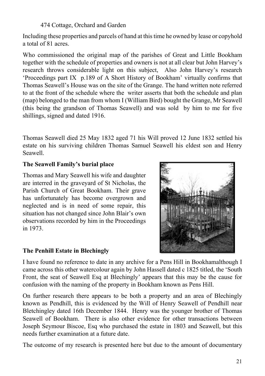#### 474 Cottage, Orchard and Garden

Including these properties and parcels of hand at this time he owned by lease or copyhold a total of 81 acres.

Who commissioned the original map of the parishes of Great and Little Bookham together with the schedule of properties and owners is not at all clear but John Harvey's research throws considerable light on this subject, Also John Harvey's research 'Proceedings part IX p.189 of A Short History of Bookham' virtually confirms that Thomas Seawell's House was on the site of the Grange. The hand written note referred to at the front of the schedule where the writer asserts that both the schedule and plan (map) belonged to the man from whom I (William Bird) bought the Grange, Mr Seawell (this being the grandson of Thomas Seawell) and was sold by him to me for five shillings, signed and dated 1916.

Thomas Seawell died 25 May 1832 aged 71 his Will proved 12 June 1832 settled his estate on his surviving children Thomas Samuel Seawell his eldest son and Henry Seawell.

#### **The Seawell Family's burial place**

Thomas and Mary Seawell his wife and daughter are interred in the graveyard of St Nicholas, the Parish Church of Great Bookham. Their grave has unfortunately has become overgrown and neglected and is in need of some repair, this situation has not changed since John Blair's own observations recorded by him in the Proceedings in 1973.



#### **The Penhill Estate in Blechingly**

I have found no reference to date in any archive for a Pens Hill in Bookhamalthough I came across this other watercolour again by John Hassell dated c 1825 titled, the 'South Front, the seat of Seawell Esq at Blechingly' appears that this may be the cause for confusion with the naming of the property in Bookham known as Pens Hill.

On further research there appears to be both a property and an area of Blechingly known as Pendhill, this is evidenced by the Will of Henry Seawell of Pendhill near Bletchingley dated 16th December 1844. Henry was the younger brother of Thomas Seawell of Bookham. There is also other evidence for other transactions between Joseph Seymour Biscoe, Esq who purchased the estate in 1803 and Seawell, but this needs further examination at a future date.

The outcome of my research is presented here but due to the amount of documentary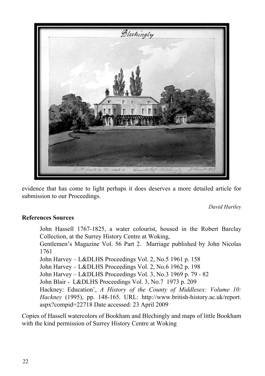

evidence that has come to light perhaps it does deserves a more detailed article for submission to our Proceedings.

*David Hartley*

#### **References Sources**

John Hassell 1767-1825, a water colourist, housed in the Robert Barclay Collection, at the Surrey History Centre at Woking, Gentlemen's Magazine Vol. 56 Part 2. Marriage published by John Nicolas 1761 John Harvey – L&DLHS Proceedings Vol. 2, No.5 1961 p. 158 John Harvey – L&DLHS Proceedings Vol. 2, No.6 1962 p. 198 John Harvey – L&DLHS Proceedings Vol. 3, No.3 1969 p. 79 - 82 John Blair - L&DLHS Proceedings Vol. 3, No.7 1973 p. 209 Hackney: Education', *A History of the County of Middlesex: Volume 10: Hackney* (1995), pp. 148-165. URL: http://www.british-history.ac.uk/report. aspx?compid=22718 Date accessed: 23 April 2009

Copies of Hassell watercolors of Bookham and Blechingly and maps of little Bookham with the kind permission of Surrey History Centre at Woking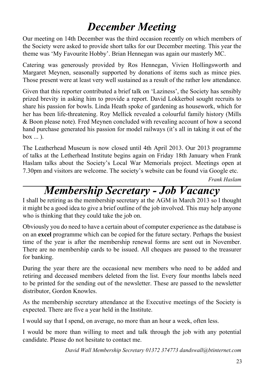### *December Meeting*

Our meeting on 14th December was the third occasion recently on which members of the Society were asked to provide short talks for our December meeting. This year the theme was 'My Favourite Hobby'. Brian Hennegan was again our masterly MC.

Catering was generously provided by Ros Hennegan, Vivien Hollingsworth and Margaret Meynen, seasonally supported by donations of items such as mince pies. Those present were at least very well sustained as a result of the rather low attendance.

Given that this reporter contributed a brief talk on 'Laziness', the Society has sensibly prized brevity in asking him to provide a report. David Lokkerbol sought recruits to share his passion for bowls. Linda Heath spoke of gardening as housework, which for her has been life-threatening. Roy Mellick revealed a colourful family history (Mills & Boon please note). Fred Meynen concluded with revealing account of how a second hand purchase generated his passion for model railways (it's all in taking it out of the  $box \ldots$ ).

The Leatherhead Museum is now closed until 4th April 2013. Our 2013 programme of talks at the Letherhead Institute begins again on Friday 18th January when Frank Haslam talks about the Society's Local War Memorials project. Meetings open at 7.30pm and visitors are welcome. The society's website can be found via Google etc.

*Frank Haslam*

### *Membership Secretary - Job Vacancy*

I shall be retiring as the membership secretary at the AGM in March 2013 so I thought it might be a good idea to give a brief outline of the job involved. This may help anyone who is thinking that they could take the job on.

Obviously you do need to have a certain about of computer experience as the database is on an **excel** programme which can be copied for the future sectary. Perhaps the busiest time of the year is after the membership renewal forms are sent out in November. There are no membership cards to be issued. All cheques are passed to the treasurer for banking.

During the year there are the occasional new members who need to be added and retiring and deceased members deleted from the list. Every four months labels need to be printed for the sending out of the newsletter. These are passed to the newsletter distributor, Gordon Knowles.

As the membership secretary attendance at the Executive meetings of the Society is expected. There are five a year held in the Institute.

I would say that I spend, on average, no more than an hour a week, often less.

I would be more than willing to meet and talk through the job with any potential candidate. Please do not hesitate to contact me.

*David Wall Membership Secretary 01372 374773 dandswall@btinternet.com*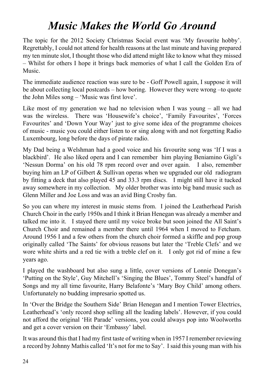### *Music Makes the World Go Around*

The topic for the 2012 Society Christmas Social event was 'My favourite hobby'. Regrettably, I could not attend for health reasons at the last minute and having prepared my ten minute slot, I thought those who did attend might like to know what they missed – Whilst for others I hope it brings back memories of what I call the Golden Era of Music.

The immediate audience reaction was sure to be - Goff Powell again, I suppose it will be about collecting local postcards – how boring. However they were wrong –to quote the John Miles song – 'Music was first love'.

Like most of my generation we had no television when I was young – all we had was the wireless. There was 'Housewife's choice', 'Family Favourites', 'Forces Favourites' and 'Down Your Way' just to give some idea of the programme choices of music - music you could either listen to or sing along with and not forgetting Radio Luxembourg, long before the days of pirate radio.

My Dad being a Welshman had a good voice and his favourite song was 'If I was a blackbird'. He also liked opera and I can remember him playing Beniamino Gigli's 'Nessun Dorma' on his old 78 rpm record over and over again. I also, remember buying him an LP of Gilbert & Sullivan operas when we upgraded our old radiogram by fitting a deck that also played 45 and 33.3 rpm discs. I might still have it tucked away somewhere in my collection. My older brother was into big band music such as Glenn Miller and Joe Loss and was an avid Bing Crosby fan.

So you can where my interest in music stems from. I joined the Leatherhead Parish Church Choir in the early 1950s and I think it Brian Henegan was already a member and talked me into it. I stayed there until my voice broke but soon joined the All Saint's Church Choir and remained a member there until 1964 when I moved to Fetcham. Around 1956 I and a few others from the church choir formed a skiffle and pop group originally called 'The Saints' for obvious reasons but later the 'Treble Clefs' and we wore white shirts and a red tie with a treble clef on it. I only got rid of mine a few years ago.

I played the washboard but also sung a little, cover versions of Lonnie Donegan's 'Putting on the Style', Guy Mitchell's 'Singing the Blues', Tommy Steel's handful of Songs and my all time favourite, Harry Belafonte's 'Mary Boy Child' among others. Unfortunately no budding impresario spotted us.

In 'Over the Bridge the Southern Side' Brian Henegan and I mention Tower Electrics, Leatherhead's 'only record shop selling all the leading labels'. However, if you could not afford the original 'Hit Parade' versions, you could always pop into Woolworths and get a cover version on their 'Embassy' label.

It was around this that I had my first taste of writing when in 1957 I remember reviewing a record by Johnny Mathis called 'It's not for me to Say'. I said this young man with his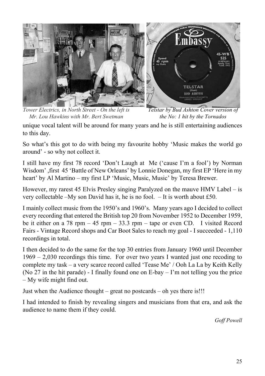

*Tower Electrics, in North Street - On the left is Mr. Lou Hawkins with Mr. Bert Swetman Telstar by Bud Ashton Cover version of the No: 1 hit by the Tornados* 

unique vocal talent will be around for many years and he is still entertaining audiences to this day.

So what's this got to do with being my favourite hobby 'Music makes the world go around' - so why not collect it.

I still have my first 78 record 'Don't Laugh at Me ('cause I'm a fool') by Norman Wisdom' ,first 45 'Battle of New Orleans' by Lonnie Donegan, my first EP 'Here in my heart' by Al Martino – my first LP 'Music, Music, Music' by Teresa Brewer.

However, my rarest 45 Elvis Presley singing Paralyzed on the mauve HMV Label – is very collectable –My son David has it, he is no fool. – It is worth about £50.

I mainly collect music from the 1950's and 1960's. Many years ago I decided to collect every recording that entered the British top 20 from November 1952 to December 1959, be it either on a 78 rpm – 45 rpm – 33.3 rpm – tape or even CD. I visited Record Fairs - Vintage Record shops and Car Boot Sales to reach my goal - I succeeded - 1,110 recordings in total.

I then decided to do the same for the top 30 entries from January 1960 until December 1969 – 2,030 recordings this time. For over two years I wanted just one recoding to complete my task – a very scarce record called 'Tease Me' / Ooh La La by Keith Kelly (No 27 in the hit parade) - I finally found one on E-bay – I'm not telling you the price – My wife might find out.

Just when the Audience thought – great no postcards – oh yes there is!!!

I had intended to finish by revealing singers and musicians from that era, and ask the audience to name them if they could.

*Goff Powell*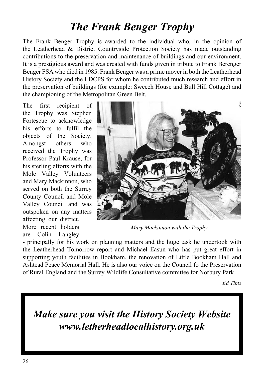### *The Frank Benger Trophy*

The Frank Benger Trophy is awarded to the individual who, in the opinion of the Leatherhead & District Countryside Protection Society has made outstanding contributions to the preservation and maintenance of buildings and our environment. It is a prestigious award and was created with funds given in tribute to Frank Berenger Benger FSA who died in 1985. Frank Benger was a prime mover in both the Leatherhead History Society and the LDCPS for whom he contributed much research and effort in the preservation of buildings (for example: Sweech House and Bull Hill Cottage) and the championing of the Metropolitan Green Belt.

The first recipient of the Trophy was Stephen Fortescue to acknowledge his efforts to fulfil the objects of the Society. Amongst others who received the Trophy was Professor Paul Krause, for his sterling efforts with the Mole Valley Volunteers and Mary Mackinnon, who served on both the Surrey County Council and Mole Valley Council and was outspoken on any matters affecting our district. More recent holders are Colin Langley



*Mary Mackinnon with the Trophy*

- principally for his work on planning matters and the huge task he undertook with the Leatherhead Tomorrow report and Michael Easun who has put great effort in supporting youth facilities in Bookham, the renovation of Little Bookham Hall and Ashtead Peace Memorial Hall. He is also our voice on the Council fo the Preservation of Rural England and the Surrey Wildlife Consultative committee for Norbury Park

*Ed Tims*

*Make sure you visit the History Society Website www.letherheadlocalhistory.org.uk*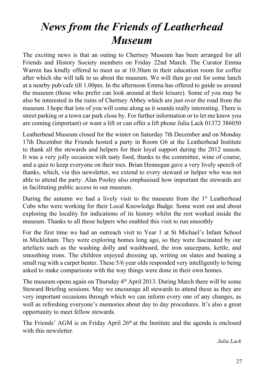### *News from the Friends of Leatherhead Museum*

The exciting news is that an outing to Chertsey Museum has been arranged for all Friends and History Society members on Friday 22nd March. The Curator Emma Warren has kindly offered to meet us at 10.30am in their education room for coffee after which she will talk to us about the museum. We will then go out for some lunch at a nearby pub/cafe till 1.00pm. In the afternoon Emma has offered to guide us around the museum (those who prefer can look around at their leisure). Some of you may be also be interested in the ruins of Chertsey Abbey which are just over the road from the museum. I hope that lots of you will come along as it sounds really interesting. There is street parking or a town car park close by. For further information or to let me know you are coming (important) or want a lift or can offer a lift phone Julia Lack 01372 386050

Leatherhead Museum closed for the winter on Saturday 7th December and on Monday 17th December the Friends hosted a party in Room G6 at the Leatherhead Institute to thank all the stewards and helpers for their loyal support during the 2012 season. It was a very jolly occasion with tasty food, thanks to the committee, wine of course, and a quiz to keep everyone on their toes. Brian Hennegan gave a very lively speech of thanks, which, via this newsletter, we extend to every steward or helper who was not able to attend the party. Alan Pooley also emphasised how important the stewards are in facilitating public access to our museum.

During the autumn we had a lively visit to the museum from the  $1<sup>st</sup>$  Leatherhead Cubs who were working for their Local Knowledge Badge. Some went out and about exploring the locality for indications of its history whilst the rest worked inside the museum. Thanks to all those helpers who enabled this visit to run smoothly

For the first time we had an outreach visit to Year 1 at St Michael's Infant School in Mickleham. They were exploring homes long ago, so they were fascinated by our artefacts such as the washing dolly and washboard, the iron saucepans, kettle, and smoothing irons. The children enjoyed dressing up, writing on slates and beating a small rug with a carpet beater. These 5/6 year olds responded very intelligently to being asked to make comparisons with the way things were done in their own homes.

The museum opens again on Thursday  $4<sup>th</sup>$  April 2013. During March there will be some Steward Briefing sessions. May we encourage all stewards to attend these as they are very important occasions through which we can inform every one of any changes, as well as refreshing everyone's memories about day to day procedures. It's also a great opportunity to meet fellow stewards.

The Friends' AGM is on Friday April  $26<sup>th</sup>$  at the Institute and the agenda is enclosed with this newsletter.

*Julia Lack*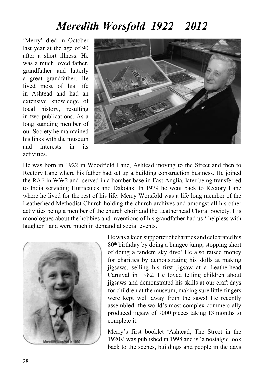### *Meredith Worsfold 1922 – 2012*

'Merry' died in October last year at the age of 90 after a short illness. He was a much loved father grandfather and latterly a great grandfather. He lived most of his life in Ashtead and had an extensive knowledge of local history, resulting in two publications. As a long standing member of our Society he maintained his links with the museum and interests in its activities.



He was born in 1922 in Woodfield Lane, Ashtead moving to the Street and then to Rectory Lane where his father had set up a building construction business. He joined the RAF in WW2 and served in a bomber base in East Anglia, later being transferred to India servicing Hurricanes and Dakotas. In 1979 he went back to Rectory Lane where he lived for the rest of his life. Merry Worsfold was a life long member of the Leatherhead Methodist Church holding the church archives and amongst all his other activities being a member of the church choir and the Leatherhead Choral Society. His monologues about the hobbies and inventions of his grandfather had us ' helpless with laughter ' and were much in demand at social events.



He was a keen supporter of charities and celebrated his 80th birthday by doing a bungee jump, stopping short of doing a tandem sky dive! He also raised money for charities by demonstrating his skills at making jigsaws, selling his first jigsaw at a Leatherhead Carnival in 1982. He loved telling children about jigsaws and demonstrated his skills at our craft days for children at the museum, making sure little fingers were kept well away from the saws! He recently assembled the world's most complex commercially produced jigsaw of 9000 pieces taking 13 months to complete it.

Merry's first booklet 'Ashtead, The Street in the 1920s' was published in 1998 and is 'a nostalgic look back to the scenes, buildings and people in the days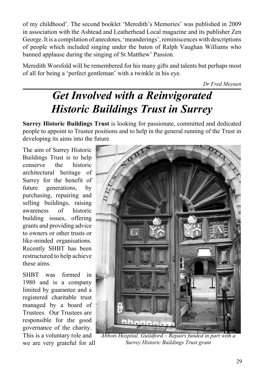of my childhood'. The second booklet 'Meredith's Memories' was published in 2009 in association with the Ashtead and Leatherhead Local magazine and its publisher Zen George. It is a compilation of anecdotes, 'meanderings', reminiscences with descriptions of people which included singing under the baton of Ralph Vaughan Williams who banned applause during the singing of St Matthew' Passion.

Meredith Worsfold will be remembered for his many gifts and talents but perhaps most of all for being a 'perfect gentleman' with a twinkle in his eye.

*Dr Fred Meynen*

## *Get Involved with a Reinvigorated Historic Buildings Trust in Surrey*

**Surrey Historic Buildings Trust** is looking for passionate, committed and dedicated people to appoint to Trustee positions and to help in the general running of the Trust in developing its aims into the future.

The aim of Surrey Historic Buildings Trust is to help conserve the historic architectural heritage of Surrey for the benefit of future generations, by purchasing, repairing and selling buildings, raising awareness of historic building issues, offering grants and providing advice to owners or other trusts or like-minded organisations. Recently SHBT has been restructured to help achieve these aims.

SHRT was formed in 1980 and is a company limited by guarantee and a registered charitable trust managed by a board of Trustees. Our Trustees are responsible for the good governance of the charity. This is a voluntary role and we are very grateful for all



*Abbots Hospital, Guildford – Repairs funded in part with a Surrey Historic Buildings Trust grant*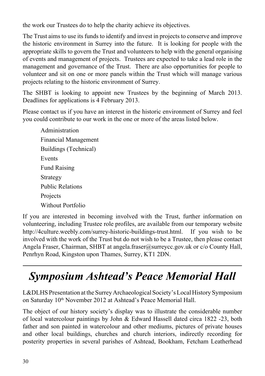the work our Trustees do to help the charity achieve its objectives.

The Trust aims to use its funds to identify and invest in projects to conserve and improve the historic environment in Surrey into the future. It is looking for people with the appropriate skills to govern the Trust and volunteers to help with the general organising of events and management of projects. Trustees are expected to take a lead role in the management and governance of the Trust. There are also opportunities for people to volunteer and sit on one or more panels within the Trust which will manage various projects relating to the historic environment of Surrey.

The SHBT is looking to appoint new Trustees by the beginning of March 2013. Deadlines for applications is 4 February 2013.

Please contact us if you have an interest in the historic environment of Surrey and feel you could contribute to our work in the one or more of the areas listed below.

Administration Financial Management Buildings (Technical) Events Fund Raising Strategy Public Relations **Projects** Without Portfolio

If you are interested in becoming involved with the Trust, further information on volunteering, including Trustee role profiles, are available from our temporary website http://4culture.weebly.com/surrey-historic-buildings-trust.html. If you wish to be involved with the work of the Trust but do not wish to be a Trustee, then please contact Angela Fraser, Chairman, SHBT at angela.fraser@surreycc.gov.uk or c/o County Hall, Penrhyn Road, Kingston upon Thames, Surrey, KT1 2DN.

### *Symposium Ashtead's Peace Memorial Hall*

L&DLHS Presentation at the Surrey Archaeological Society's Local History Symposium on Saturday 10th November 2012 at Ashtead's Peace Memorial Hall.

The object of our history society's display was to illustrate the considerable number of local watercolour paintings by John & Edward Hassell dated circa 1822 -23, both father and son painted in watercolour and other mediums, pictures of private houses and other local buildings, churches and church interiors, indirectly recording for posterity properties in several parishes of Ashtead, Bookham, Fetcham Leatherhead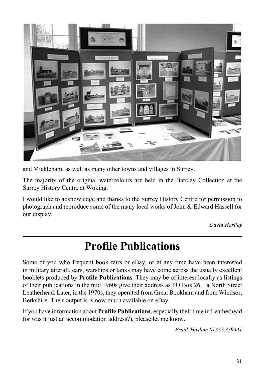

and Mickleham, as well as many other towns and villages in Surrey.

The majority of the original watercolours are held in the Barclay Collection at the Surrey History Centre at Woking.

I would like to acknowledge and thanks to the Surrey History Centre for permission to photograph and reproduce some of the many local works of John & Edward Hassell for our display.

*David Hartley*

### **Profile Publications**

Some of you who frequent book fairs or eBay, or at any time have been interested in military aircraft, cars, warships or tanks may have come across the usually excellent booklets produced by **Profile Publications**. They may be of interest locally as listings of their publications in the mid 1960s give their address as PO Box 26, 1a North Street Leatherhead. Later, in the 1970s, they operated from Great Bookham and from Windsor, Berkshire. Their output is is now much available on eBay.

If you have information about **Profile Publications**, especially their time in Leatherhead (or was it just an accommodation address?), please let me know.

*Frank Haslam 01372 379341*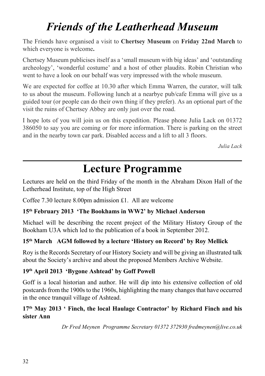### *Friends of the Leatherhead Museum*

The Friends have organised a visit to **Chertsey Museum** on **Friday 22nd March** to which everyone is welcome**.**

Chertsey Museum publicises itself as a 'small museum with big ideas' and 'outstanding archeology', 'wonderful costume' and a host of other plaudits. Robin Christian who went to have a look on our behalf was very impressed with the whole museum.

We are expected for coffee at 10.30 after which Emma Warren, the curator, will talk to us about the museum. Following lunch at a nearbye pub/cafe Emma will give us a guided tour (or people can do their own thing if they prefer). As an optional part of the visit the ruins of Chertsey Abbey are only just over the road.

I hope lots of you will join us on this expedition. Please phone Julia Lack on 01372 386050 to say you are coming or for more information. There is parking on the street and in the nearby town car park. Disabled access and a lift to all 3 floors.

*Julia Lack*

### **Lecture Programme**

Lectures are held on the third Friday of the month in the Abraham Dixon Hall of the Letherhead Institute, top of the High Street

Coffee 7.30 lecture 8.00pm admission £1. All are welcome

#### **15th February 2013 'The Bookhams in WW2' by Michael Anderson**

Michael will be describing the recent project of the Military History Group of the Bookham U3A which led to the publication of a book in September 2012.

#### **15th March AGM followed by a lecture 'History on Record' by Roy Mellick**

Roy is the Records Secretary of our History Society and will be giving an illustrated talk about the Society's archive and about the proposed Members Archive Website.

#### **19th April 2013 'Bygone Ashtead' by Goff Powell**

Goff is a local historian and author. He will dip into his extensive collection of old postcards from the 1900s to the 1960s, highlighting the many changes that have occurred in the once tranquil village of Ashtead.

#### **17th May 2013 ' Finch, the local Haulage Contractor' by Richard Finch and his sister Ann**

*Dr Fred Meynen Programme Secretary 01372 372930 fredmeynen@live.co.uk*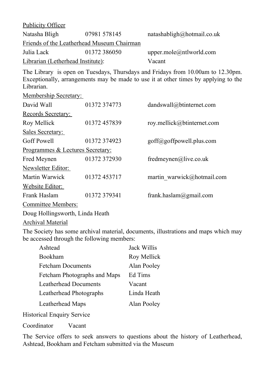Publicity Officer

| Natasha Bligh                              | 07981 578145 | natashabligh@hotmail.co.uk |
|--------------------------------------------|--------------|----------------------------|
| Friends of the Leatherhead Museum Chairman |              |                            |
| Julia Lack                                 | 01372 386050 | upper.mole@ntlworld.com    |
| Librarian (Letherhead Institute):          |              | Vacant                     |

The Library is open on Tuesdays, Thursdays and Fridays from 10.00am to 12.30pm. Exceptionally, arrangements may be made to use it at other times by applying to the Librarian.

Membership Secretary:

| David Wall                       | 01372 374773 | dandswall@btinternet.com   |  |
|----------------------------------|--------------|----------------------------|--|
| Records Secretary:               |              |                            |  |
| Roy Mellick                      | 01372 457839 | roy.mellick@btinternet.com |  |
| Sales Secretary:                 |              |                            |  |
| <b>Goff Powell</b>               | 01372 374923 | goff@goffpowell.plus.com   |  |
| Programmes & Lectures Secretary: |              |                            |  |
| Fred Meynen                      | 01372 372930 | fredmeynen@live.co.uk      |  |
| Newsletter Editor:               |              |                            |  |
| Martin Warwick                   | 01372 453717 | martin warwick@hotmail.com |  |
| Website Editor:                  |              |                            |  |
| Frank Haslam                     | 01372 379341 | frank.haslam@gmail.com     |  |
| Committee Members:               |              |                            |  |
| Doug Hollingsworth, Linda Heath  |              |                            |  |
| Archival Material                |              |                            |  |

The Society has some archival material, documents, illustrations and maps which may be accessed through the following members:

| Ashtead                      | Jack Willis |
|------------------------------|-------------|
| Bookham                      | Roy Mellick |
| <b>Fetcham Documents</b>     | Alan Pooley |
| Fetcham Photographs and Maps | Ed Tims     |
| <b>Leatherhead Documents</b> | Vacant      |
| Leatherhead Photographs      | Linda Heath |
| Leatherhead Maps             | Alan Pooley |
|                              |             |

Historical Enquiry Service

Coordinator Vacant

The Service offers to seek answers to questions about the history of Leatherhead, Ashtead, Bookham and Fetcham submitted via the Museum